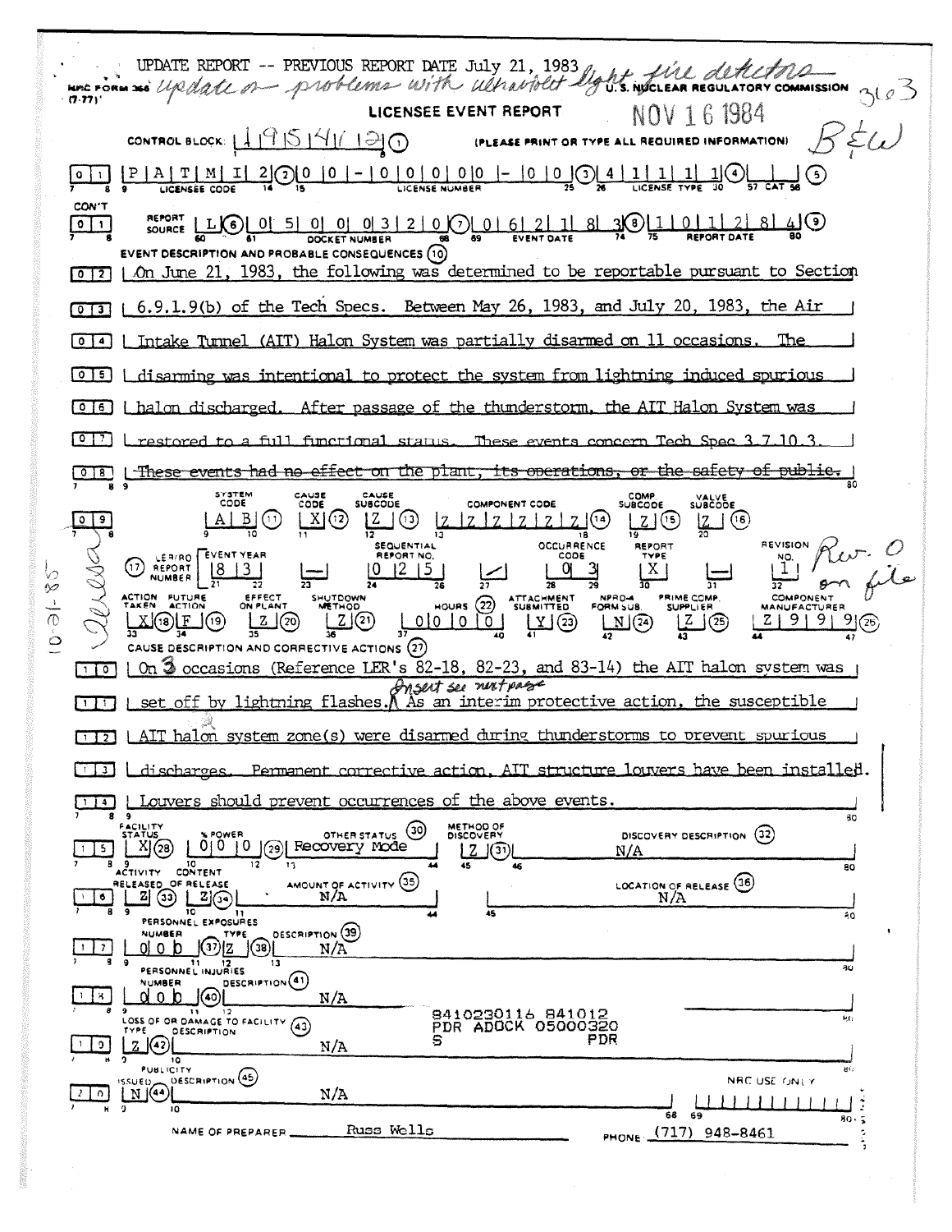UPDATE REPORT -- PREVIOUS REPORT DATE JULY 21, 1983 light will detection ORY COMMISSION 3605  $(7.77)$ LICENSEE EVENT REPORT NOV 1 6 1984 CONTROL BLOCK:  $49544170$ (PLEASE PRINT OR TYPE ALL REQUIRED INFORMATION)  $\underline{\frac{1}{30}}$  $\perp$ (ع) یو  $Q \mid 1$ CON'T SOURCE LLCCC 0 5 0 0 0 3 2 0 0 0 5 0 0 0 3 2 0 0 0 0 6 2 1 8 3 0 1 1 0 1 2 8 4 9  $\boxed{\circ}$ DOCKET NUMBER EVENT DESCRIPTION AND PROBABLE CONSEQUENCES (10) [0][7] | On June 21, 1983, the following was determined to be reportable pursuant to Section  $\overline{013}$  | 6.9.1.9(b) of the Tech Specs. Between May 26, 1983, and July 20, 1983, the Air Intake Turnel (AIT) Halon System was partially disarmed on 11 occasions. The  $\sqrt{0}$   $\sqrt{4}$ [0][5] | disarming was intentional to protect the system from lightning induced spurious [0] 6] | halon discharged. After passage of the thunderstorm, the AIT Halon System was restored to a full functional status. These events concern Tech Spec 3.7.10.3 These events had no effect on the plant, its operations, or the safety of public.  $018$ SYSTEM COMP.<br>SUBCODE CAUSE<br>CODE CAUSE<br>SUBCODE **SUBCODE** COMPONENT CODE  $\frac{1}{20}$  (16)  $[A|B](i)$  $|X|(2)$  $Z(3)$  $|Z|Z|Z|Z|Z$  $\circ$  $\overline{9}$ <u>z</u> (೨ 18 **OCCURRENCE REVISION SEQUENTIAL** REPORT LER/RO EVENT YEAR CODE  $^{\text{NO}}_{\text{1}}$ (17) REPORT  $1215$ q  $X$  $\begin{array}{|c|c|c|c|c|} \hline 8 & 3 \\ \hline \end{array}$ EFFECT<br>ON PLANT NPRO-4 ATTACHMENT<br>SUBMITTED PRIME COMP. COMPONEN ACTION FUTURE SHUTDOWN  $\frac{1}{\sigma}$ HOURS  $(22)$ **CLIPPLIFR** 4A NUEZ  $\frac{2}{36}$   $\overline{20}$  $\boxed{\underline{Z}}$ 00000 TAG3  $\frac{Z}{2}$   $\circled{2}$  $2 | 9 | 9 | 9 | (26)$  $M(2)$ X)(18)[E\_](19)  $\dot{\circ}$ CAUSE DESCRIPTION AND CORRECTIVE ACTIONS (27) On 3 occasions (Reference LER's 82-18, 82-23, and 83-14) the AIT halon system was  $\sqrt{10}$ Insert see next passe  $[1]$  set off by lightning flashes. A As an interim protective action, the susceptible [172] LAIT halon system zone(s) were disarmed during thunderstorms to prevent spurious discharges. Permanent corrective action, AIT structure louvers have been installed.  $\Box$ Louvers should prevent occurrences of the above events. ا لغلتا  $80$ METHOD OF<br>DISCOVERY OTHER STATUS (30) POWER DISCOVERY DESCRIPTION (32)  $\underline{X}(\overline{\Omega})$ 0|0 |0 | 29| Recovery Mode  $\overline{5}$  $\lfloor 2 \rfloor$ (31) N/A  $\overline{\mathbf{1}}$ 80  $\vec{c}$ TIVITY CONTENT AMOUNT OF ACTIVITY (35) LOCATION OF RELEASE (36) OF RELEASE ELEASED <u>খু গুলো</u>  $N/A$ N/A | 6 |  $\overline{10}$ PERSONNEL EXPOSURES  $\overline{20}$ DESCRIPTION (39) NUMBER TYPE  $\bigcirc$   $\bigcirc$   $\bigcirc$   $\bigcirc$   $\bigcirc$   $\bigcirc$   $\bigcirc$   $\bigcirc$   $\bigcirc$   $\bigcirc$   $\bigcirc$   $\bigcirc$   $\bigcirc$   $\bigcirc$   $\bigcirc$   $\bigcirc$   $\bigcirc$   $\bigcirc$   $\bigcirc$   $\bigcirc$   $\bigcirc$   $\bigcirc$   $\bigcirc$   $\bigcirc$   $\bigcirc$   $\bigcirc$   $\bigcirc$   $\bigcirc$   $\bigcirc$   $\bigcirc$   $\bigcirc$   $\bigcirc$   $\bigcirc$   $\bigcirc$   $\bigcirc$   $\bigcirc$   $\bigcirc$ <u>ol o b</u>  $|1|7|$  $N/A$ 11 12<br>PERSONNEL INJURIES  $\overline{\mathbf{a}}$ DESCRIPTION<sup>(41)</sup> **NUMBER** ા⊚ાં  $1 + 8$ d o b  $N/A$ 8410230116 841012<br>PDR ADOCK 05000320 LOSS OF OR DAMAGE TO FACILITY (43) **DESCRIPTION**  $\frac{1}{2}$  (42) **PDR**  $\overline{5}$  $N/A$  $PUBLICITY$ DESCRIPTION (45)  $\left(\frac{NSU E}{N}\right)$ NRC USE ONLY  $N/A$  $2|0|$ 3  $\overline{10}$  $59$ 68 яο.  $\tilde{ }$ PHONE (717) 948-8461 Russ Wells NAME OF PREPARFR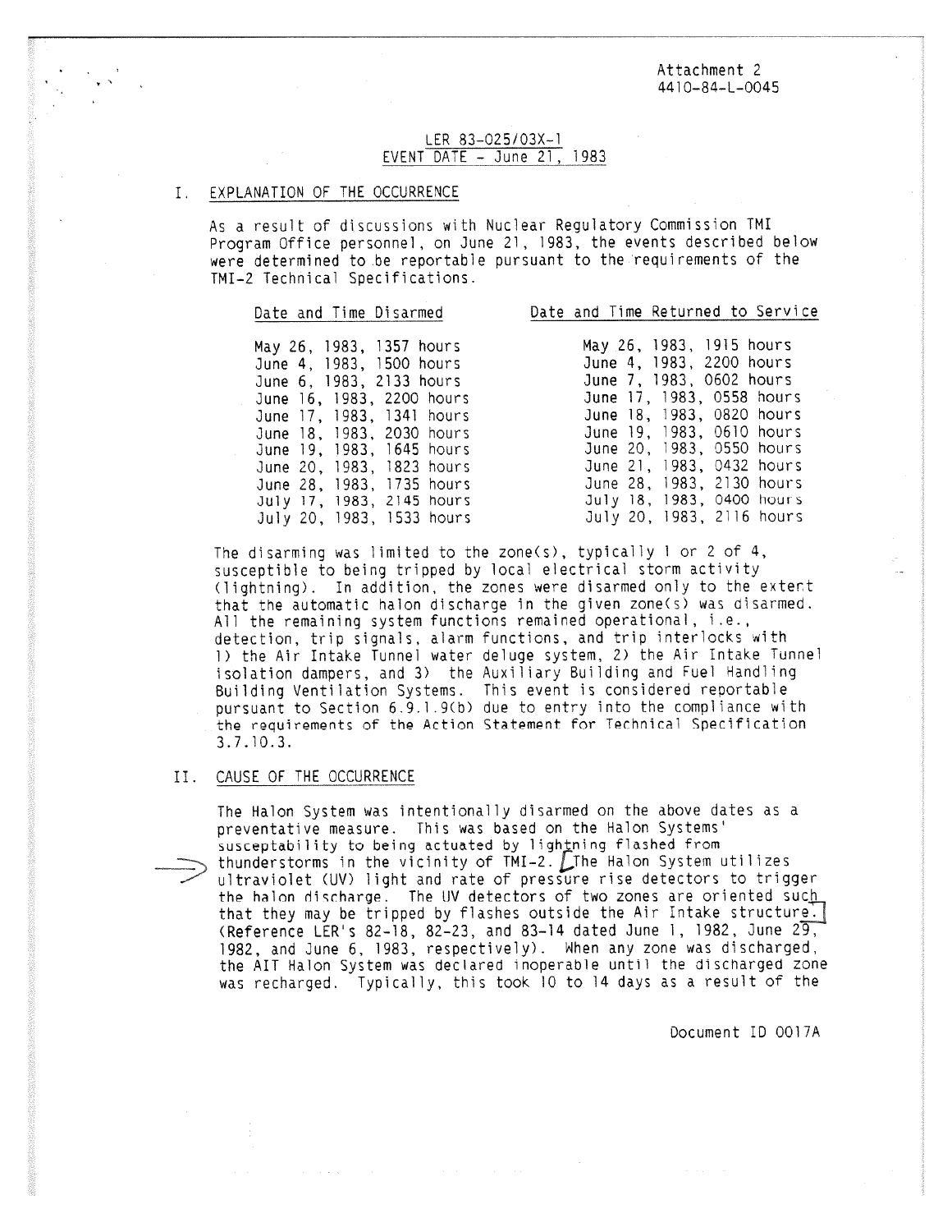Attachment 2 4410-84-L-0045

## LER 83-025/03X-1 EVENT DATE - June 21, 1983

### EXPLANATION OF THE OCCURRENCE

As a result of discussions with Nuclear Regulatory Commission TMI Program Office personnel, on June 21, 1983, the events described below were determined to be reportable pursuant to the requirements of the TMI-2 Technical Specifications.

|  |  |  | Date and Time Disarmed |  |
|--|--|--|------------------------|--|
|  |  |  |                        |  |

Date and Time Returned to Service

May 26, 1983, 1357 hours June 4, 1983, 1500 hours June 6, 1983, 2133 hours June 16, 1983, 2200 hours June 17, 1983, 1341 hours June 18, 1983, 2030 hours June 19, 1983, 1645 hours June 20, 1983, 1823 hours June 28, 1983, 1735 hours July 17, 1983, 2145 hours July 20, 1983, 1533 hours

| may zo,  | 1983. |            | פוועטוו כו <del>ע</del> ו |
|----------|-------|------------|---------------------------|
| June 4,  | 1983, | 2200 hours |                           |
| June 7,  | 1983. |            | 0602 hours                |
| June 17. | 1983, |            | 0558 hours                |
| June 18, | 1983, |            | 0820 hours                |
| June 19, | 1983. |            | 0610 hours                |
| June 20, | 1983, |            | 0550 hours                |
| June 21, | 1983. |            | 0432 hours                |
| June 28. | 1983. |            | 2130 hours                |
| July 18, | 1983, |            | 0400 hours                |
| July 20, | 1983. |            | 2116 hours                |

 $3000 - 1015$  hours

The disarming was limited to the zone(s), typically 1 or 2 of 4, susceptible to being tripped by local electrical storm activity (lightning). In addition, the zones were disarmed only to the extent that the automatic halon discharge in the given zone(s) was disarmed. All the remaining system functions remained operational, i.e., detection, trip signals, alarm functions, and trip interlocks with 1) the Air Intake Tunnel water deluge system, 2) the Air Intake Tunnel isolation dampers, and 3) the Auxiliary Building and Fuel Handling Building Ventilation Systems. This event is considered reportable pursuant to Section 6.9.1.9(b) due to entry into the compliance with the requirements of the Action Statement for Technical Specification 3.7.10.3.

### II. CAUSE OF THE OCCURRENCE

The Halon System was intentionally disarmed on the above dates as a preventative measure. This was based on the Halon Systems' susceptability to being actuated by lightning flashed from<br>thunderstorms in the vicinity of  $TMI-2$ . The Halon System utilizes  $\implies$  thunderstorms in the vicinity of TMI-2. Lihe Halon System utilizes<br>Ultraviolet (UV) light and rate of pressure rise detectors to trigge) the halon discharge. The UV detectors of two zones are oriented such that they may be tripped by flashes outside the Air Intake structure. (Reference LER's 82-18, 82-23, and 83-14 dated June 1, 1982, June 29, 1982, and June 6, 1983, respectively). When any zone was discharged, the AIT Halon System was declared inoperable until the discharged zone was recharged. Typically, this took 10 to 14 days as a result of the

Document ID 0017A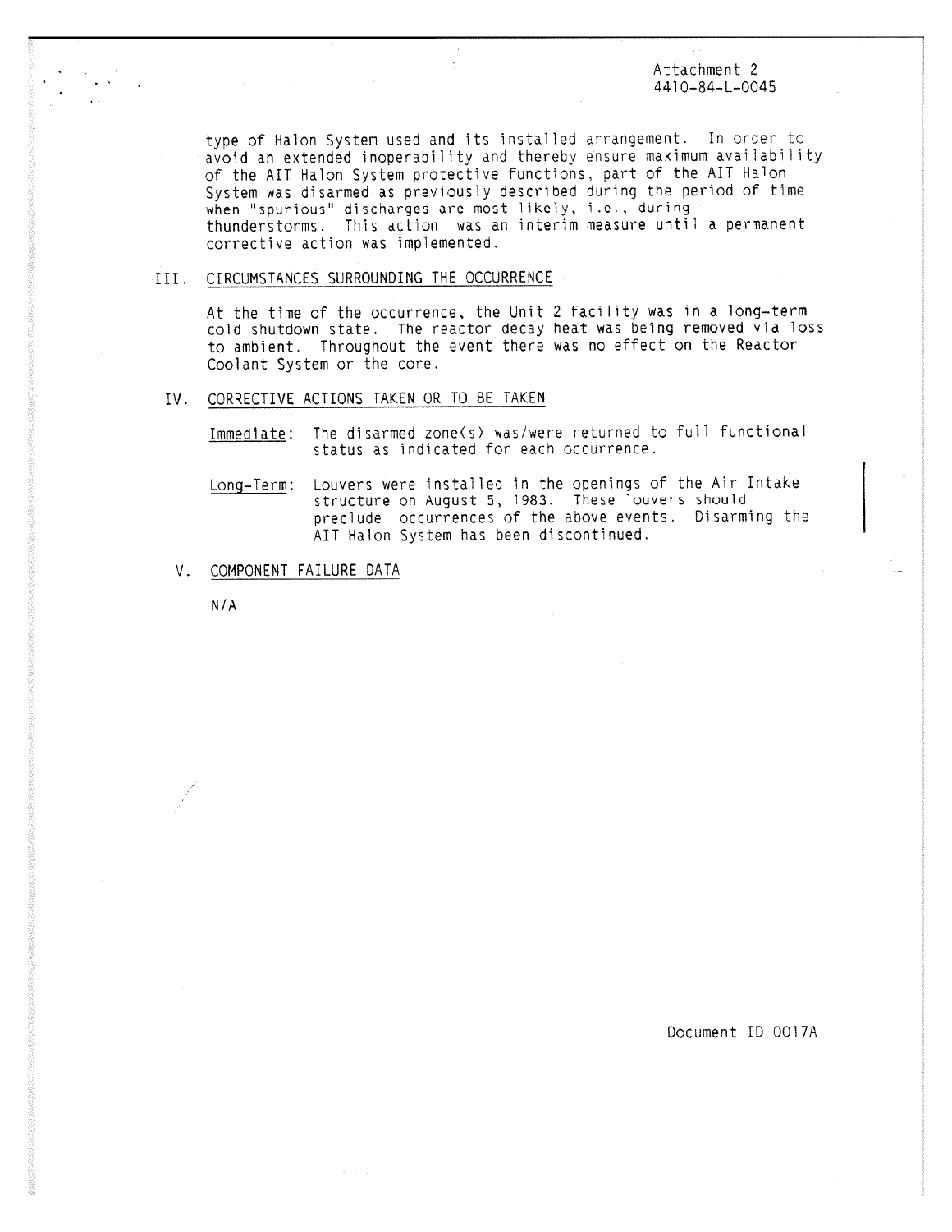Attachment 2 4410-84-L-0045

type of Halon System used and its installed arrangement. In order to avoid an extended inoperability and thereby ensure maximum availability of the AIT Halon System protective functions, part of the AIT Halon System was disarmed as previously described during the period of time when "spurious" discharges are most likely, i.c., during thunderstorms. This action was an interim measure until a permanent corrective action was implemented.

# . CIRCUMSTANCES SURROUNDING THE OCCURRENCE

At the time of the occurrence, the Unit 2 facility was in a long-term cold shutdown state. The reactor decay heat was being removed via loss to ambient. Throughout the event there was no effect on the Reactor Coolant System or the core.

## IV. CORRECTIVE ACTIONS TAKEN OR TO BE TAKEN

Immediate: The disarmed zone(s) was/were returned to full functional status as indicated for each occurrence.

- Long-Term: Louvers were installed in the openings of the Air Intake structure on August 5, 1983. These louvers should preclude occurrences of the above events. Disarming the AIT Halon System has been discontinued.
- V. COMPONENT FAILURE DATA

N/A

Document ID 0017A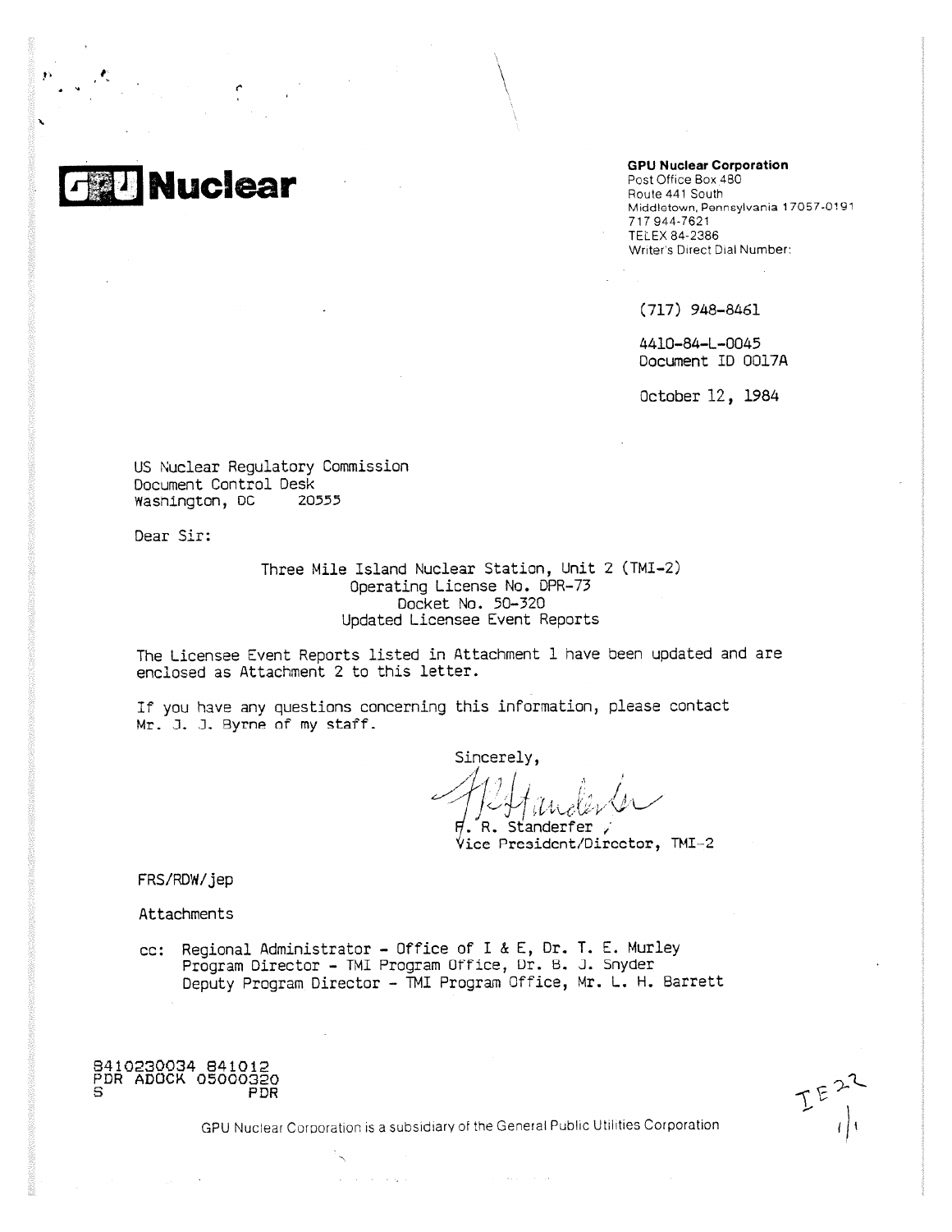

**GPU Nuclear Corporation**

Post Office Box 480 Route 441 South Middletown, Pennsylvania 17057-0191 717 944-7621 TELEX 84-2386 Writer's Direct Dial Number:

(717) 948-8461

4410-84-L-0045 Document ID 0017A

October 12, 1984

US Nuclear Regulatory Commission Document Control Desk US Nuclear Regulatory Co<br>Document Control Desk<br>Wasnington, DC 20555<br>Dear Sir:<br>Three Mil

Dear Sir:

Three Mile Island Nuclear Station, Unit 2 (TMI-2) Operating License No. DPR-73 Docket No, 50-320 Updated Licensee Event Reports

The Licensee Event Reports listed in Attachment I have been updated and are enclosed as Attachment 2 to this letter.

If you have any questions concerning this information, please contact Mr. J. J. Byrne of my staff.

Sincerely,

. R. Standerfer  $V$ ice President/Director, TMI-2

FRS/RDW/jep

Attachments

cc: Regional Administrator - Office of I & E, Dr. T. E. Murley Program Director - TMI Program Office, Ur. B. J. Snyder Deputy Program Director - TMI Program Office, Mr. L. H. Barrett

8410230034 841012 PDR ADOCK 05000320 <sup>S</sup> PDR

 $E^{E}$ 

GPU Nuclear Corporation is a subsidiary of the General Public Utilities Corporation

المتواصل والمتابع

and the second control